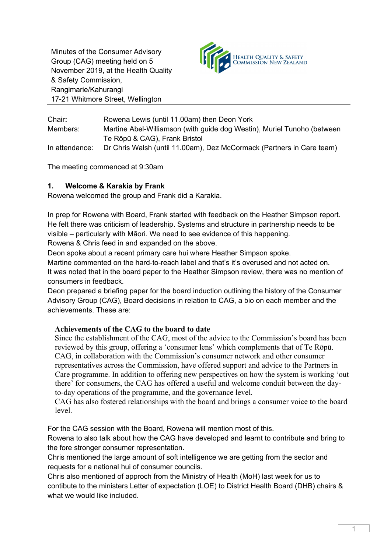Minutes of the Consumer Advisory Group (CAG) meeting held on 5 November 2019, at the Health Quality & Safety Commission, Rangimarie/Kahurangi 17-21 Whitmore Street, Wellington



| Chair:         | Rowena Lewis (until 11.00am) then Deon York                             |
|----------------|-------------------------------------------------------------------------|
| Members:       | Martine Abel-Williamson (with guide dog Westin), Muriel Tunoho (between |
|                | Te Rōpū & CAG), Frank Bristol                                           |
| In attendance: | Dr Chris Walsh (until 11.00am), Dez McCormack (Partners in Care team)   |

The meeting commenced at 9:30am

# **1. Welcome & Karakia by Frank**

Rowena welcomed the group and Frank did a Karakia.

In prep for Rowena with Board, Frank started with feedback on the Heather Simpson report. He felt there was criticism of leadership. Systems and structure in partnership needs to be visible – particularly with Māori. We need to see evidence of this happening. Rowena & Chris feed in and expanded on the above.

Deon spoke about a recent primary care hui where Heather Simpson spoke.

Martine commented on the hard-to-reach label and that's it's overused and not acted on. It was noted that in the board paper to the Heather Simpson review, there was no mention of consumers in feedback.

Deon prepared a briefing paper for the board induction outlining the history of the Consumer Advisory Group (CAG), Board decisions in relation to CAG, a bio on each member and the achievements. These are:

## **Achievements of the CAG to the board to date**

Since the establishment of the CAG, most of the advice to the Commission's board has been reviewed by this group, offering a 'consumer lens' which complements that of Te Rōpū. CAG, in collaboration with the Commission's consumer network and other consumer representatives across the Commission, have offered support and advice to the Partners in Care programme. In addition to offering new perspectives on how the system is working 'out there' for consumers, the CAG has offered a useful and welcome conduit between the dayto-day operations of the programme, and the governance level.

CAG has also fostered relationships with the board and brings a consumer voice to the board level.

For the CAG session with the Board, Rowena will mention most of this.

Rowena to also talk about how the CAG have developed and learnt to contribute and bring to the fore stronger consumer representation.

Chris mentioned the large amount of soft intelligence we are getting from the sector and requests for a national hui of consumer councils.

Chris also mentioned of approch from the Ministry of Health (MoH) last week for us to contibute to the ministers Letter of expectation (LOE) to District Health Board (DHB) chairs & what we would like included.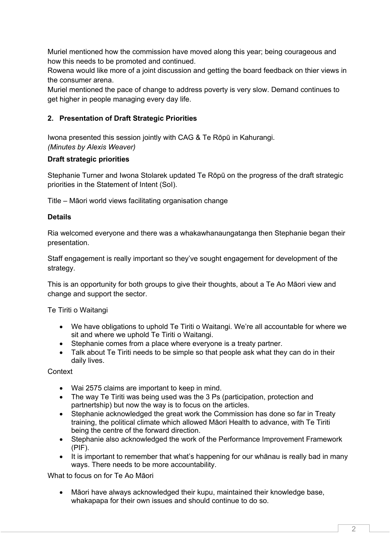Muriel mentioned how the commission have moved along this year; being courageous and how this needs to be promoted and continued.

Rowena would like more of a joint discussion and getting the board feedback on thier views in the consumer arena.

Muriel mentioned the pace of change to address poverty is very slow. Demand continues to get higher in people managing every day life.

# **2. Presentation of Draft Strategic Priorities**

Iwona presented this session jointly with CAG & Te Rōpū in Kahurangi. *(Minutes by Alexis Weaver)*

# **Draft strategic priorities**

Stephanie Turner and Iwona Stolarek updated Te Rōpū on the progress of the draft strategic priorities in the Statement of Intent (SoI).

Title – Māori world views facilitating organisation change

## **Details**

Ria welcomed everyone and there was a whakawhanaungatanga then Stephanie began their presentation.

Staff engagement is really important so they've sought engagement for development of the strategy.

This is an opportunity for both groups to give their thoughts, about a Te Ao Māori view and change and support the sector.

Te Tiriti o Waitangi

- We have obligations to uphold Te Tiriti o Waitangi. We're all accountable for where we sit and where we uphold Te Tiriti o Waitangi.
- Stephanie comes from a place where everyone is a treaty partner.
- Talk about Te Tiriti needs to be simple so that people ask what they can do in their daily lives.

Context

- Wai 2575 claims are important to keep in mind.
- The way Te Tiriti was being used was the 3 Ps (participation, protection and partnertship) but now the way is to focus on the articles.
- Stephanie acknowledged the great work the Commission has done so far in Treaty training, the political climate which allowed Māori Health to advance, with Te Tiriti being the centre of the forward direction.
- Stephanie also acknowledged the work of the Performance Improvement Framework (PIF).
- It is important to remember that what's happening for our whanau is really bad in many ways. There needs to be more accountability.

What to focus on for Te Ao Māori

• Māori have always acknowledged their kupu, maintained their knowledge base, whakapapa for their own issues and should continue to do so.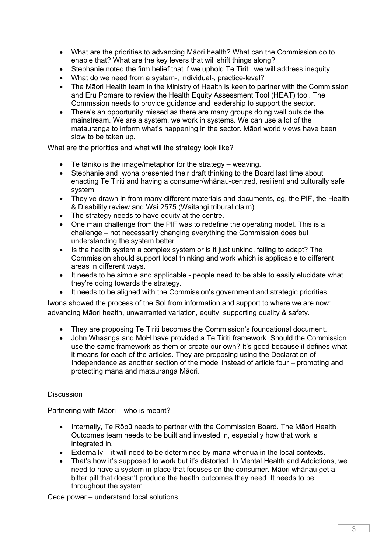- What are the priorities to advancing Māori health? What can the Commission do to enable that? What are the key levers that will shift things along?
- Stephanie noted the firm belief that if we uphold Te Tiriti, we will address inequity.
- What do we need from a system-, individual-, practice-level?
- The Māori Health team in the Ministry of Health is keen to partner with the Commission and Eru Pomare to review the Health Equity Assessment Tool (HEAT) tool. The Commssion needs to provide guidance and leadership to support the sector.
- There's an opportunity missed as there are many groups doing well outside the mainstream. We are a system, we work in systems. We can use a lot of the matauranga to inform what's happening in the sector. Māori world views have been slow to be taken up.

What are the priorities and what will the strategy look like?

- Te tāniko is the image/metaphor for the strategy weaving.
- Stephanie and Iwona presented their draft thinking to the Board last time about enacting Te Tiriti and having a consumer/whānau-centred, resilient and culturally safe system.
- They've drawn in from many different materials and documents, eq, the PIF, the Health & Disability review and Wai 2575 (Waitangi tribural claim)
- The strategy needs to have equity at the centre.
- One main challenge from the PIF was to redefine the operating model. This is a challenge – not necessarily changing everything the Commission does but understanding the system better.
- Is the health system a complex system or is it just unkind, failing to adapt? The Commission should support local thinking and work which is applicable to different areas in different ways.
- It needs to be simple and applicable people need to be able to easily elucidate what they're doing towards the strategy.
- It needs to be aligned with the Commission's government and strategic priorities.

Iwona showed the process of the SoI from information and support to where we are now: advancing Māori health, unwarranted variation, equity, supporting quality & safety.

- They are proposing Te Tiriti becomes the Commission's foundational document.
- John Whaanga and MoH have provided a Te Tiriti framework. Should the Commission use the same framework as them or create our own? It's good because it defines what it means for each of the articles. They are proposing using the Declaration of Independence as another section of the model instead of article four – promoting and protecting mana and matauranga Māori.

#### Discussion

Partnering with Māori – who is meant?

- Internally, Te Rōpū needs to partner with the Commission Board. The Māori Health Outcomes team needs to be built and invested in, especially how that work is integrated in.
- Externally it will need to be determined by mana whenua in the local contexts.
- That's how it's supposed to work but it's distorted. In Mental Health and Addictions, we need to have a system in place that focuses on the consumer. Māori whānau get a bitter pill that doesn't produce the health outcomes they need. It needs to be throughout the system.

Cede power – understand local solutions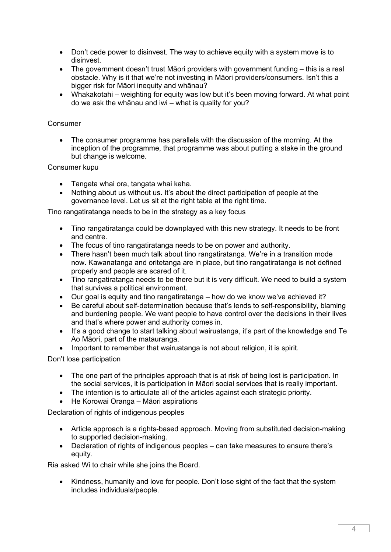- Don't cede power to disinvest. The way to achieve equity with a system move is to disinvest.
- The government doesn't trust Māori providers with government funding this is a real obstacle. Why is it that we're not investing in Māori providers/consumers. Isn't this a bigger risk for Māori inequity and whānau?
- Whakakotahi weighting for equity was low but it's been moving forward. At what point do we ask the whānau and iwi – what is quality for you?

### Consumer

• The consumer programme has parallels with the discussion of the morning. At the inception of the programme, that programme was about putting a stake in the ground but change is welcome.

#### Consumer kupu

- Tangata whai ora, tangata whai kaha.
- Nothing about us without us. It's about the direct participation of people at the governance level. Let us sit at the right table at the right time.

Tino rangatiratanga needs to be in the strategy as a key focus

- Tino rangatiratanga could be downplayed with this new strategy. It needs to be front and centre.
- The focus of tino rangatiratanga needs to be on power and authority.
- There hasn't been much talk about tino rangatiratanga. We're in a transition mode now. Kawanatanga and oritetanga are in place, but tino rangatiratanga is not defined properly and people are scared of it.
- Tino rangatiratanga needs to be there but it is very difficult. We need to build a system that survives a political environment.
- Our goal is equity and tino rangatiratanga how do we know we've achieved it?
- Be careful about self-determination because that's lends to self-responsibility, blaming and burdening people. We want people to have control over the decisions in their lives and that's where power and authority comes in.
- It's a good change to start talking about wairuatanga, it's part of the knowledge and Te Ao Māori, part of the matauranga.
- Important to remember that wairuatanga is not about religion, it is spirit.

Don't lose participation

- The one part of the principles approach that is at risk of being lost is participation. In the social services, it is participation in Māori social services that is really important.
- The intention is to articulate all of the articles against each strategic priority.
- He Korowai Oranga Māori aspirations

Declaration of rights of indigenous peoples

- Article approach is a rights-based approach. Moving from substituted decision-making to supported decision-making.
- Declaration of rights of indigenous peoples can take measures to ensure there's equity.

Ria asked Wi to chair while she joins the Board.

• Kindness, humanity and love for people. Don't lose sight of the fact that the system includes individuals/people.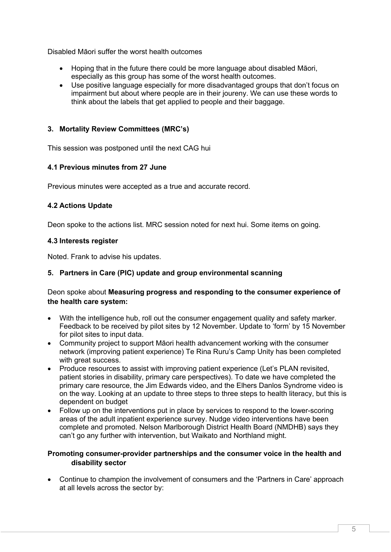Disabled Māori suffer the worst health outcomes

- Hoping that in the future there could be more language about disabled Māori, especially as this group has some of the worst health outcomes.
- Use positive language especially for more disadvantaged groups that don't focus on impairment but about where people are in their joureny. We can use these words to think about the labels that get applied to people and their baggage.

### **3. Mortality Review Committees (MRC's)**

This session was postponed until the next CAG hui

#### **4.1 Previous minutes from 27 June**

Previous minutes were accepted as a true and accurate record.

### **4.2 Actions Update**

Deon spoke to the actions list. MRC session noted for next hui. Some items on going.

#### **4.3 Interests register**

Noted. Frank to advise his updates.

### **5. Partners in Care (PIC) update and group environmental scanning**

## Deon spoke about **Measuring progress and responding to the consumer experience of the health care system:**

- With the intelligence hub, roll out the consumer engagement quality and safety marker. Feedback to be received by pilot sites by 12 November. Update to 'form' by 15 November for pilot sites to input data.
- Community project to support Māori health advancement working with the consumer network (improving patient experience) Te Rina Ruru's Camp Unity has been completed with great success.
- Produce resources to assist with improving patient experience (Let's PLAN revisited, patient stories in disability, primary care perspectives). To date we have completed the primary care resource, the Jim Edwards video, and the Elhers Danlos Syndrome video is on the way. Looking at an update to three steps to three steps to health literacy, but this is dependent on budget
- Follow up on the interventions put in place by services to respond to the lower-scoring areas of the adult inpatient experience survey. Nudge video interventions have been complete and promoted. Nelson Marlborough District Health Board (NMDHB) says they can't go any further with intervention, but Waikato and Northland might.

### **Promoting consumer-provider partnerships and the consumer voice in the health and disability sector**

• Continue to champion the involvement of consumers and the 'Partners in Care' approach at all levels across the sector by: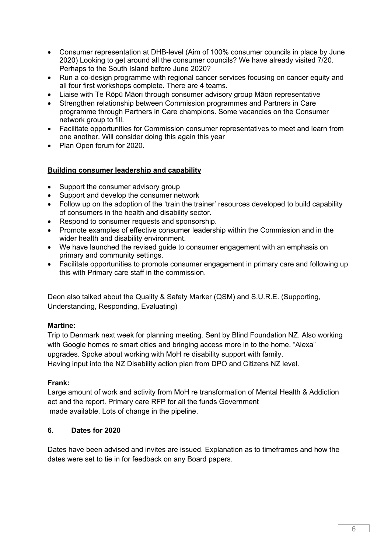- Consumer representation at DHB-level (Aim of 100% consumer councils in place by June 2020) Looking to get around all the consumer councils? We have already visited 7/20. Perhaps to the South Island before June 2020?
- Run a co-design programme with regional cancer services focusing on cancer equity and all four first workshops complete. There are 4 teams.
- Liaise with Te Rōpū Māori through consumer advisory group Māori representative
- Strengthen relationship between Commission programmes and Partners in Care programme through Partners in Care champions. Some vacancies on the Consumer network group to fill.
- Facilitate opportunities for Commission consumer representatives to meet and learn from one another. Will consider doing this again this year
- Plan Open forum for 2020.

#### **Building consumer leadership and capability**

- Support the consumer advisory group
- Support and develop the consumer network
- Follow up on the adoption of the 'train the trainer' resources developed to build capability of consumers in the health and disability sector.
- Respond to consumer requests and sponsorship.
- Promote examples of effective consumer leadership within the Commission and in the wider health and disability environment.
- We have launched the revised guide to consumer engagement with an emphasis on primary and community settings.
- Facilitate opportunities to promote consumer engagement in primary care and following up this with Primary care staff in the commission.

Deon also talked about the Quality & Safety Marker (QSM) and S.U.R.E. (Supporting, Understanding, Responding, Evaluating)

#### **Martine:**

Trip to Denmark next week for planning meeting. Sent by Blind Foundation NZ. Also working with Google homes re smart cities and bringing access more in to the home. "Alexa" upgrades. Spoke about working with MoH re disability support with family. Having input into the NZ Disability action plan from DPO and Citizens NZ level.

#### **Frank:**

Large amount of work and activity from MoH re transformation of Mental Health & Addiction act and the report. Primary care RFP for all the funds Government made available. Lots of change in the pipeline.

#### **6. Dates for 2020**

Dates have been advised and invites are issued. Explanation as to timeframes and how the dates were set to tie in for feedback on any Board papers.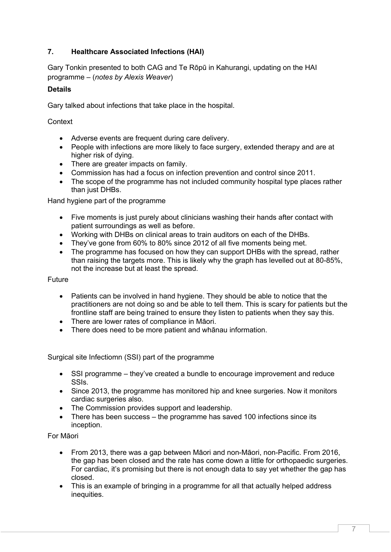# **7. Healthcare Associated Infections (HAI)**

Gary Tonkin presented to both CAG and Te Rōpū in Kahurangi, updating on the HAI programme – (*notes by Alexis Weaver*)

## **Details**

Gary talked about infections that take place in the hospital.

**Context** 

- Adverse events are frequent during care delivery.
- People with infections are more likely to face surgery, extended therapy and are at higher risk of dying.
- There are greater impacts on family.
- Commission has had a focus on infection prevention and control since 2011.
- The scope of the programme has not included community hospital type places rather than just DHBs.

Hand hygiene part of the programme

- Five moments is just purely about clinicians washing their hands after contact with patient surroundings as well as before.
- Working with DHBs on clinical areas to train auditors on each of the DHBs.
- They've gone from 60% to 80% since 2012 of all five moments being met.
- The programme has focused on how they can support DHBs with the spread, rather than raising the targets more. This is likely why the graph has levelled out at 80-85%, not the increase but at least the spread.

#### Future

- Patients can be involved in hand hygiene. They should be able to notice that the practitioners are not doing so and be able to tell them. This is scary for patients but the frontline staff are being trained to ensure they listen to patients when they say this.
- There are lower rates of compliance in Māori.
- There does need to be more patient and whānau information.

Surgical site Infectiomn (SSI) part of the programme

- SSI programme they've created a bundle to encourage improvement and reduce SSIs.
- Since 2013, the programme has monitored hip and knee surgeries. Now it monitors cardiac surgeries also.
- The Commission provides support and leadership.
- There has been success the programme has saved 100 infections since its inception.

#### For Māori

- From 2013, there was a gap between Māori and non-Māori, non-Pacific. From 2016, the gap has been closed and the rate has come down a little for orthopaedic surgeries. For cardiac, it's promising but there is not enough data to say yet whether the gap has closed.
- This is an example of bringing in a programme for all that actually helped address inequities.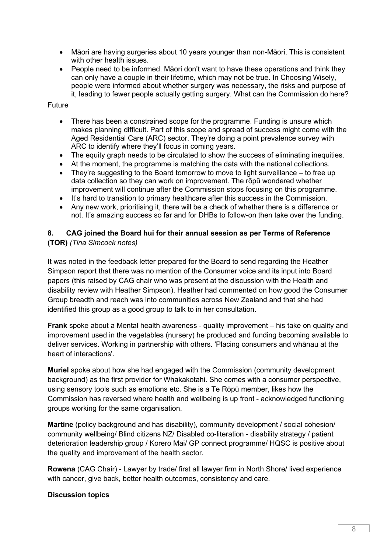- Māori are having surgeries about 10 years younger than non-Māori. This is consistent with other health issues.
- People need to be informed. Māori don't want to have these operations and think they can only have a couple in their lifetime, which may not be true. In Choosing Wisely, people were informed about whether surgery was necessary, the risks and purpose of it, leading to fewer people actually getting surgery. What can the Commission do here?

### Future

- There has been a constrained scope for the programme. Funding is unsure which makes planning difficult. Part of this scope and spread of success might come with the Aged Residential Care (ARC) sector. They're doing a point prevalence survey with ARC to identify where they'll focus in coming years.
- The equity graph needs to be circulated to show the success of eliminating inequities.
- At the moment, the programme is matching the data with the national collections.
- They're suggesting to the Board tomorrow to move to light surveillance to free up data collection so they can work on improvement. The rōpū wondered whether improvement will continue after the Commission stops focusing on this programme.
- It's hard to transition to primary healthcare after this success in the Commission.
- Any new work, prioritising it, there will be a check of whether there is a difference or not. It's amazing success so far and for DHBs to follow-on then take over the funding.

#### **8. CAG joined the Board hui for their annual session as per Terms of Reference (TOR)** *(Tina Simcock notes)*

It was noted in the feedback letter prepared for the Board to send regarding the Heather Simpson report that there was no mention of the Consumer voice and its input into Board papers (this raised by CAG chair who was present at the discussion with the Health and disability review with Heather Simpson). Heather had commented on how good the Consumer Group breadth and reach was into communities across New Zealand and that she had identified this group as a good group to talk to in her consultation.

**Frank** spoke about a Mental health awareness - quality improvement – his take on quality and improvement used in the vegetables (nursery) he produced and funding becoming available to deliver services. Working in partnership with others. 'Placing consumers and whānau at the heart of interactions'.

**Muriel** spoke about how she had engaged with the Commission (community development background) as the first provider for Whakakotahi. She comes with a consumer perspective, using sensory tools such as emotions etc. She is a Te Rōpū member, likes how the Commission has reversed where health and wellbeing is up front - acknowledged functioning groups working for the same organisation.

**Martine** (policy background and has disability), community development / social cohesion/ community wellbeing/ Blind citizens NZ/ Disabled co-literation - disability strategy / patient deterioration leadership group / Korero Mai/ GP connect programme/ HQSC is positive about the quality and improvement of the health sector.

**Rowena** (CAG Chair) - Lawyer by trade/ first all lawyer firm in North Shore/ lived experience with cancer, give back, better health outcomes, consistency and care.

#### **Discussion topics**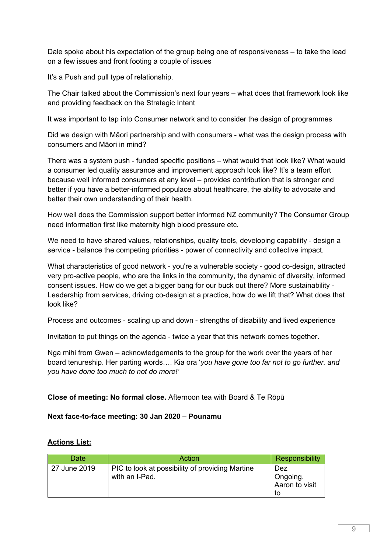Dale spoke about his expectation of the group being one of responsiveness – to take the lead on a few issues and front footing a couple of issues

It's a Push and pull type of relationship.

The Chair talked about the Commission's next four years – what does that framework look like and providing feedback on the Strategic Intent

It was important to tap into Consumer network and to consider the design of programmes

Did we design with Māori partnership and with consumers - what was the design process with consumers and Māori in mind?

There was a system push - funded specific positions – what would that look like? What would a consumer led quality assurance and improvement approach look like? It's a team effort because well informed consumers at any level – provides contribution that is stronger and better if you have a better-informed populace about healthcare, the ability to advocate and better their own understanding of their health.

How well does the Commission support better informed NZ community? The Consumer Group need information first like maternity high blood pressure etc.

We need to have shared values, relationships, quality tools, developing capability - design a service - balance the competing priorities - power of connectivity and collective impact.

What characteristics of good network - you're a vulnerable society - good co-design, attracted very pro-active people, who are the links in the community, the dynamic of diversity, informed consent issues. How do we get a bigger bang for our buck out there? More sustainability - Leadership from services, driving co-design at a practice, how do we lift that? What does that look like?

Process and outcomes - scaling up and down - strengths of disability and lived experience

Invitation to put things on the agenda - twice a year that this network comes together.

Nga mihi from Gwen – acknowledgements to the group for the work over the years of her board tenureship. Her parting words…. Kia ora '*you have gone too far not to go further. and you have done too much to not do more!'*

## **Close of meeting: No formal close.** Afternoon tea with Board & Te Rōpū

#### **Next face-to-face meeting: 30 Jan 2020 – Pounamu**

## **Actions List:**

| <b>Date</b>  | Action                                                            | Responsibility                          |
|--------------|-------------------------------------------------------------------|-----------------------------------------|
| 27 June 2019 | PIC to look at possibility of providing Martine<br>with an I-Pad. | Dez<br>Ongoing.<br>Aaron to visit<br>to |